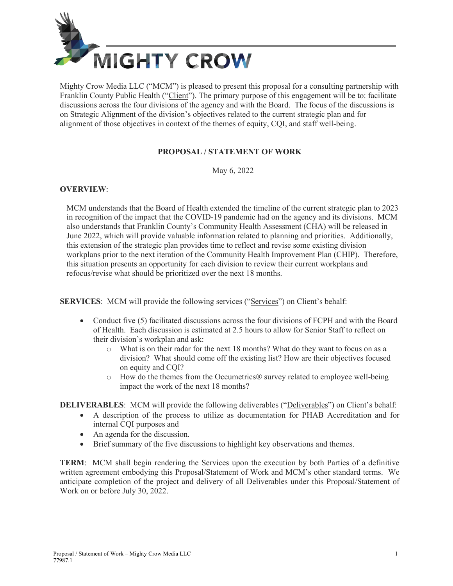

Mighty Crow Media LLC ("MCM") is pleased to present this proposal for a consulting partnership with Franklin County Public Health ("Client"). The primary purpose of this engagement will be to: facilitate discussions across the four divisions of the agency and with the Board. The focus of the discussions is on Strategic Alignment of the division's objectives related to the current strategic plan and for alignment of those objectives in context of the themes of equity, CQI, and staff well-being.

## **PROPOSAL / STATEMENT OF WORK**

May 6, 2022

## **OVERVIEW**:

MCM understands that the Board of Health extended the timeline of the current strategic plan to 2023 in recognition of the impact that the COVID-19 pandemic had on the agency and its divisions. MCM also understands that Franklin County's Community Health Assessment (CHA) will be released in June 2022, which will provide valuable information related to planning and priorities. Additionally, this extension of the strategic plan provides time to reflect and revise some existing division workplans prior to the next iteration of the Community Health Improvement Plan (CHIP). Therefore, this situation presents an opportunity for each division to review their current workplans and refocus/revise what should be prioritized over the next 18 months.

**SERVICES**: MCM will provide the following services ("Services") on Client's behalf:

- Conduct five (5) facilitated discussions across the four divisions of FCPH and with the Board of Health. Each discussion is estimated at 2.5 hours to allow for Senior Staff to reflect on their division's workplan and ask:
	- o What is on their radar for the next 18 months? What do they want to focus on as a division? What should come off the existing list? How are their objectives focused on equity and CQI?
	- o How do the themes from the Occumetrics® survey related to employee well-being impact the work of the next 18 months?

**DELIVERABLES:** MCM will provide the following deliverables ("Deliverables") on Client's behalf:

- A description of the process to utilize as documentation for PHAB Accreditation and for internal CQI purposes and
- An agenda for the discussion.
- Brief summary of the five discussions to highlight key observations and themes.

**TERM**: MCM shall begin rendering the Services upon the execution by both Parties of a definitive written agreement embodying this Proposal/Statement of Work and MCM's other standard terms. We anticipate completion of the project and delivery of all Deliverables under this Proposal/Statement of Work on or before July 30, 2022.